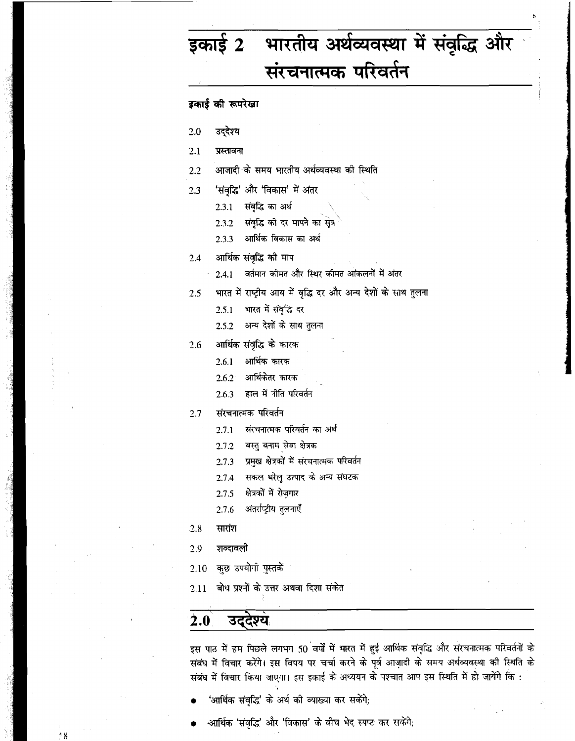# भारतीय अर्थव्यवस्था में संवृद्धि और इकाई 2 संरचनात्मक परिवर्तन

## इकाई की रूपरेखा

- $2.0$ उद्देश्य
- $2.1$ प्रस्तावना
- आजादी के समय भारतीय अर्थव्यवस्था को स्थिति  $2.2$
- 'संवृद्धि' और 'विकास' में अंतर  $2.3$ 
	- 2.3.1 संवृद्धि का अर्थ
	- संवृद्धि को दर मापने का सूत्र  $2.3.2 -$
	- आर्थिक विकास का अर्थ 2.3.3
- आर्थिक संवृद्धि को माप  $2.4$ 
	- वर्तमान कीमत और स्थिर कीमत आंकलनों में अंतर  $2.4.1$
- भारत में राष्ट्रीय आय में वृद्धि दर और अन्य देशों के साथ तुलना  $2.5$ 
	- भारत में संवृद्धि दर 2.5.1
	- अन्य देशों के साथ तुलना 2.5.2
- आर्थिक संवृद्धि के कारक 2.6
	- आर्थिक कारक 2.6.1
	- आर्थिकेतर कारक  $2.6.2$
	- हाल में नीति परिवर्तन 2.6.3
- संरचनात्मक परिवर्तन  $2.7$ 
	- $2.7.1$ संरचनात्मक परिवर्तन का अर्थ
	- वस्तु बनाम सेवा क्षेत्रक  $2.7.2$
	- प्रमुख क्षेत्रकों में संरचनात्मक परिवर्तन  $2.7.3$
	- सकल घरेलु उत्पाद के अन्य संघटक 2.7.4
	- क्षेत्रकों में रोज़गार 2.7.5
	- अंतर्राष्ट्रीय तुलनाएँ 2.7.6
- $.2.8$ सारांश
- 2.9 शव्दावली
- कुछ उपयोगी पुस्तकें 2.10
- बोध प्रश्नों के उत्तर अथवा दिशा संकेत 2.11

#### $2.0$ उददश्य

 $48$ 

इस पाठ में हम पिछले लगभग 50 वर्षों में भारत में हुई आर्थिक संवृद्धि और संरचनात्मक परिवर्तनों के संबंध में विचार करेंगे। इस विषय पर चर्चा करने के पूर्व आज़ादी के समय अर्थव्यवस्था की स्थिति के संबंध में विचार किया जाएगा। इस इकाई के अध्ययन के पश्चात आप इस स्थिति में हो जायेंगे कि :

- 'आर्थिक संवृद्धि' के अर्थ की व्याख्या कर सकेंगे;
- -आर्थिक 'संवृद्धि' और 'विकास' के बीच भेद स्पप्ट कर सकेंगे;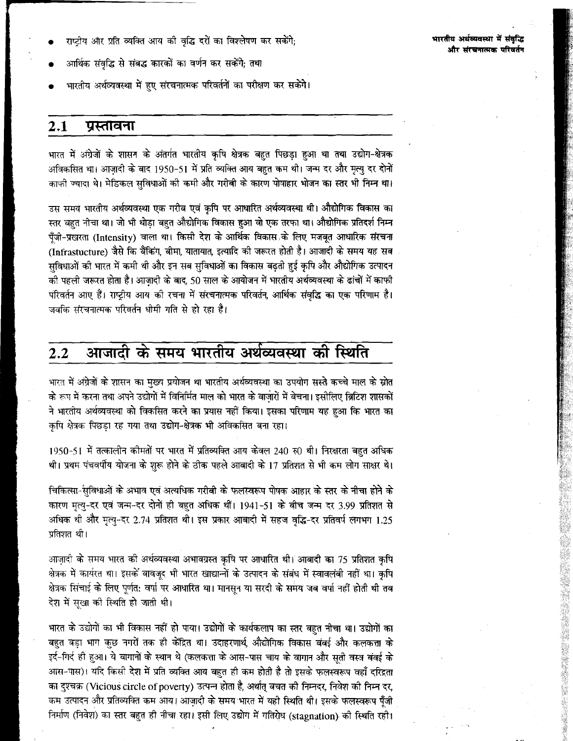- राष्ट्रीय और प्रति व्यक्ति आय की वृद्धि दरों का विश्लेषण कर सकेंगे;
- आर्थिक संवृद्धि से संबद्ध कारकों का वर्णन कर सकेंगे; तथा
- भारतीय अर्थव्यवस्था में हुए संरचनात्मक परिवर्तनों का परीक्षण कर सकेंगे।

#### $2.1$ प्रस्तावना

भारत में अंग्रेजों के शासन के अंतर्गत भारतीय कृषि क्षेत्रक बहुत पिछड़ा हुआ था तथा उद्योग-क्षेत्रक अविकसित था। आजादी के बाद 1950-51 में प्रति व्यक्ति आय बहुत कम थी। जन्म दर और मृत्यु दर दोनों काफी ज्यादा थे। मेडिकल सुविधाओं की कमी और गरीबी के कारण पोषाहार भोजन का स्तर भी निम्न था।

उस समय भारतीय अर्थव्यवस्था एक गरीब एवं कृषि पर आधारित अर्थव्यवस्था थी। औद्योगिक विकास का स्तर बहुत नीचा था। जो भी थोड़ा बहुत औद्योगिक विकास हुआ वो एक तरफा था। औद्योगिक प्रतिदर्श निम्न पँजी-प्रखरता (Intensity) वाला था। किसी देश के आर्थिक विकास के लिए मजबत आधारिक संरचना (Infrastucture) जैसे कि बैंकिंग, बीमा, यातायात, इत्यादि की जरूरत होती है। आजादी के समय यह सब सुविधाओं की भारत में कमी थी और इन सब सुविधाओं का विकास बढ़ती हुई कृपि और औद्योगिक उत्पादन .<br>की पहली जरूरत होता है। आजादी के बाद, 50 साल के आयोजन में भारतीय अर्थव्यवस्था के ढांचों में काफी .<br>परिवर्तन आए हैं। राष्ट्रीय आय की रचना में संरचनात्मक परिवर्तन, आर्थिक संवृद्धि का एक परिणाम है। जबकि संरचनात्मक परिवर्तन धोमी गति से हो रहा है।

#### आजादी के समय भारतीय अर्थव्यवस्था की स्थिति  $2.2$

भारत में अंग्रेजों के शासन का मुख्य प्रयोजन था भारतीय अर्थव्यवस्था का उपयोग सस्ते कच्चे माल के स्रोत के रूप में करना तथा अपने उद्योगों में विनिर्मित माल को भारत के बाजारों में बेचना। इसीलिए ब्रिटिश शासकों ने भारतीय अर्थव्यवस्था को विकसित करने का प्रयास नहीं किया। इसका परिणाम यह हुआ कि भारत का कृषि क्षेत्रक पिछड़ा रह गया तथा उद्योग-क्षेत्रक भी अविकसित बना रहा।

1950-51 में तत्कालीन कीमतों पर भारत में प्रतिव्यक्ति आय केवल 240 रु0 थी। निरक्षरता बहुत अधिक थी। प्रथम पंचवर्षीय योजना के शुरू होने के ठीक पहले आबादी के 17 प्रतिशत से भी कम लोग साक्षर थे।

चिकित्सा-सुविधाओं के अभाव एवं अत्यधिक गरीबी के फलस्वरूप पोषक आहार के स्तर के नीचा होने के कारण मृत्यु-दर एवं जन्म-दर दोनों ही बहुत अधिक थीं। 1941-51 के बीच जन्म दर 3.99 प्रतिशत से अधिक थी और मृत्यु-दर 2.74 प्रतिशत थी। इस प्रकार आबादी में सहज वृद्धि-दर प्रतिवर्ष लगभग 1.25 प्रतिशत थी।

आज़ादी के समय भारत की अर्थव्यवस्था अभावग्रस्त कृषि पर आधारित थी। आबादी का 75 प्रतिशत कृषि क्षेत्रक में कार्यरत था। इसके बावजूद भी भारत खाद्यान्नों के उत्पादन के संबंध में स्वावलंबी नहीं था। कृषि क्षेत्रक सिंचाई के लिए पूर्णत: वर्षा पर आधारित था। मानसून या सरदी के समय जब वर्षा नहीं होती थी तब देश में सुखा की स्थिति हो जाती थी।

भारत के उद्योगों का भी विकास नहीं हो पाया। उद्योगों के कार्यकलाप का स्तर बहुत नीचा था। उद्योगों का बहुत बड़ा भाग कुछ नगरों तक ही केंद्रित था। उदाहरणार्थ, औद्योगिक विकास बंबई और कलकत्ता के इर्द-गिर्द ही हुआ। ये बागानों के स्थान थे (कलकत्ता के आस-पास चाय के वागान और सूती वस्त्र बंबई के आस-पास)। यदि किसी देश में प्रति व्यक्ति आय बहुत ही कम होती है तो इसके फलस्वरूप वहाँ दरिद्रता का दुश्चक्र (Vicious circle of poverty) उत्पन्न होता है, अर्थात् बचत की निम्नदर, निवेश की निम्न दर, कम उत्पादन और प्रतिव्यक्ति कम आय। आज़ादी के समय भारत में यही स्थिति थी। इसके फलस्वरूप पूँजी निर्माण (निवेश) का स्तर बहुत ही नीचा रहा। इसी लिए उद्योग में गतिरोध (stagnation) की स्थिति रही।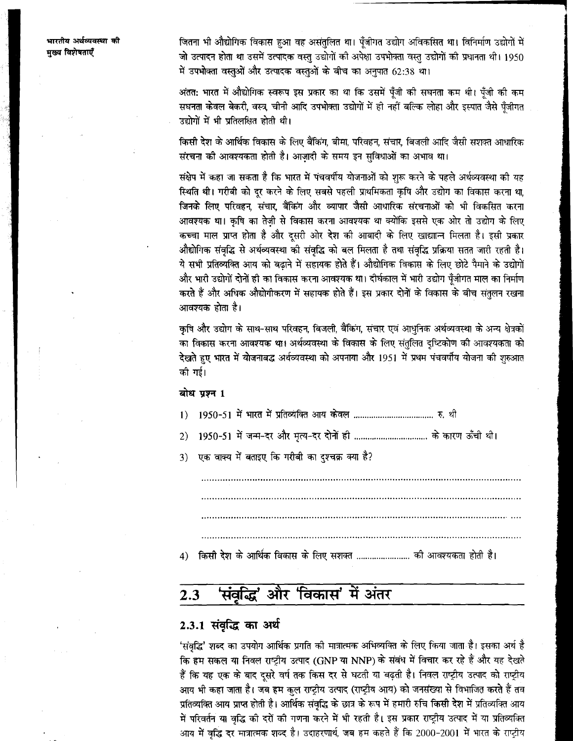जितना भी औद्योगिक विकास हुआ वह असंतुलित था। पुँजीगत उद्योग अविकसित था। विनिर्माण उद्योगों में जो उत्पादन होता था उसमें उत्पादक वस्तु उद्योगों की अपेक्षा उपभोक्ता वस्तु उद्योगों की प्रधानता थी। 1950 में उपभोक्ता वस्तुओं और उत्पादक वस्तुओं के बीच का अनुपात 62:38 था।

अंतत: भारत में औद्योगिक स्वरूप इस प्रकार का था कि उसमें पूँजी की सघनता कम थी। पूँजी की कम सघनता केवल बेकरी, वस्त्र, चीनी आदि उपभोक्ता उद्योगों में ही नहीं बल्कि लोहा और इस्पात जैसे पूँजीगत उद्योगों में भी प्रतिलक्षित होती थी।

किसी देश के आर्थिक विकास के लिए बैंकिंग, बीमा, परिवहन, संचार, बिजली आदि जैसी सशक्त आधारिक संरचना की आवश्यकता होती है। आज़ादी के समय इन सुविधाओं का अभाव था।

संक्षेप में कहा जा सकता है कि भारत में पंचवर्षीय योजनाओं को शुरू करने के पहले अर्थव्यवस्था की यह स्थिति थी। गरीबी को दूर करने के लिए सबसे पहली प्राथमिकता कृषि और उद्योग का विकास करना था, जिनके लिए परिवहन, संचार, बैंकिंग और व्यापार जैसी आधारिक संरचनाओं को भी विकसित करना आवश्यक था। कृषि का तेज़ी से विकास करना आवश्यक था क्योंकि इससे एक ओर तो उद्योग के लिए कच्चा माल प्राप्त होता है और दुसरी ओर देश की आबादी के लिए खाद्याान्न मिलता है। इसी प्रकार औद्योगिक संवृद्धि से अर्थव्यवस्था की संवृद्धि को बल मिलता है तथा संवृद्धि प्रक्रिया सतत जारी रहती है। ये सभी प्रतिव्यक्ति आय को बढ़ाने में सहायक होते हैं। औद्योगिक विकास के लिए छोटे पैमाने के उद्योगों और भारी उद्योगों दोनों ही का विकास करना आवश्यक था। दीर्घकाल में भारी उद्योग पूँजीगत माल का निर्माण करते हैं और अधिक औद्योगीकरण में सहायक होते हैं। इस प्रकार दोनों के विकास के बीच संतुलन रखना आवश्यक होता है।

कृषि और उद्योग के साथ-साथ परिवहन, बिजली, बैंकिंग, संचार एवं आधुनिक अर्थव्यवस्था के अन्य क्षेत्रकों का विकास करना आवश्यक था। अर्थव्यवस्था के विकास के लिए संतुलित दुष्टिकोण की आवश्यकता को देखते हुए भारत में योजनाबद्ध अर्थव्यवस्था को अपनाया और 1951 में प्रथम पंचवर्षीय योजना की शुरुआत को गई।

### बोध प्रश्न 1

- $1)$
- 1950-51 में जन्म-दर और मृत्य-दर दोनों ही .................................. के कारण ऊँची थी।  $2)$
- एक वाक्य में बताइए कि गरीबी का दुश्चक्र क्या है?  $3)$

किसी देश के आर्थिक विकास के लिए सशक्त ......................... की आवश्यकता होती है।  $4)$ 

#### 'संवृद्धि' और 'विकास' में अंतर  $2.3$

## 2.3.1 संवृद्धि का अर्थ

'संवृद्धि' शब्द का उपयोग आर्थिक प्रगति की मात्रात्मक अभिव्यक्ति के लिए किया जाता है। इसका अर्थ है कि हम सकल या निवल राष्ट्रीय उत्पाद (GNP या NNP) के संबंध में विचार कर रहे हैं और यह देखते हैं कि यह एक के बाद दूसरे वर्ष तक किस दर से घटती या बढ़ती है। निवल राष्ट्रीय उत्पाद को राष्ट्रीय आय भी कहा जाता है। जब हम कुल राष्ट्रीय उत्पाद (राष्ट्रीय आय) को जनसंख्या से विभाजित करते हैं तब प्रतिव्यक्ति आय प्राप्त होती है। आर्थिक संवृद्धि के छात्र के रूप में हमारी रुचि किसी देश में प्रतिव्यक्ति आय में परिवर्तन या वृद्धि की दरों की गणना करने में भी रहती है। इस प्रकार राष्ट्रीय उत्पाद में या प्रतिव्यक्ति आय में वृद्धि दर मात्रात्मक शब्द है। उदाहरणार्थ, जब हम कहते हैं कि 2000-2001 में भारत के राष्ट्रीय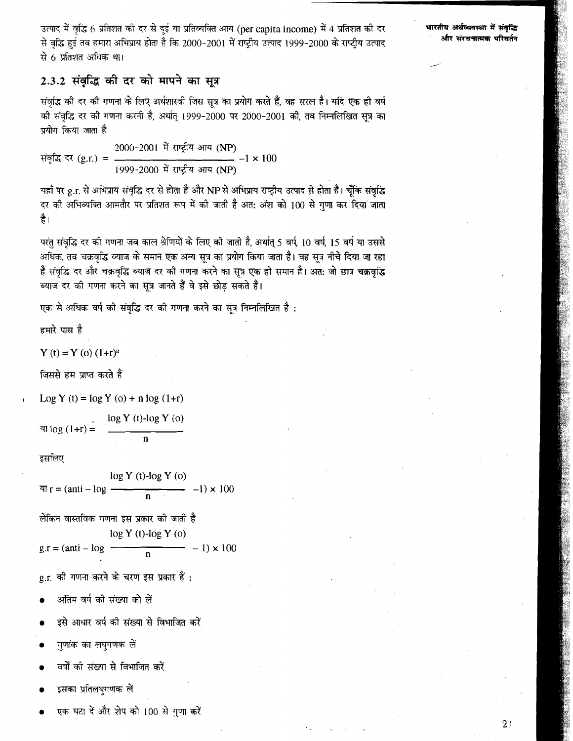उत्पाद में वृद्धि 6 प्रतिशत की दर से दुई या प्रतिव्यक्ति आय (per capita income) में 4 प्रतिशत को दर **समारतीय अर्थव्यवस्था में संवृद्धि**<br>से वृद्धि हुई तब हमारा अभिप्राय होता है कि 2000-2001 में राष्ट्रीय उत्पाद 1999-2000 क से 6 प्रतिशत अधिक था।

# 2.3.2 संवृद्धि की दर को मापने का सूत्र

संवृद्धि की दर की गणना के लिए अर्थशास्त्री जिस सूत्र का प्रयोग करते हैं, वह सरल है। यदि एक ही वर्ष की संवृद्धि दर की गणना करनी है, अर्थात् 1999-2000 पर 2000-2001 की, तब निम्नलिखित सूत्र का प्रयोग किया जाता है

संवृद्धि दर (g.r.) = 
$$
\frac{2000-2001 \text{ में राष्ट्रीय आय (NP)}{-1 \times 100}
$$

यहाँ पर g.r. से अभिप्राय संवृद्धि दर से होता है और NP से अभिप्राय राष्ट्रीय उत्पाद से होता है। चूँकि संवृद्धि दर की अभिव्यक्ति आमतौर पर प्रतिशत रूप में की जाती है अत: अंश को 100 से गुणा कर दिया जाता है।

परंतु संवृद्धि दर की गणना जब काल श्रेणियों के लिए की जाती है, अर्थात् 5 वर्ष, 10 वर्ष, 15 वर्ष या उससे अधिक, तब चक्रवृद्धि ब्याज के समान एक अन्य सूत्र का प्रयोग किया जाता है। वह सूत्र नीचे दिया जा रहा है संवृद्धि दर और चक्रवृद्धि व्याज दर की गणना करने का सूत्र एक ही समान है। अंत: जो छात्र चक्रवृद्धि ब्याज दर की गणना करने का सूत्र जानते हैं वे इसे छोड़ सकते हैं।

एक से अधिक वर्ष की संवृद्धि दर की गणना करने का सूत्र निम्नलिखित है:

### हमारे पास है

Y (t) = Y (0) 
$$
(1+r)^n
$$

जिससे हम प्राप्त करते हैं

LO^ Y (t) = log Y (o) + **n** log (l+r)

. log Y (t)-log Y **(0)**   $\pi \log (1+r) =$  n

इसलिए

log Y (t)-log Y (0)  $ar = (anti - log \t -1) \times 100$ n

लेकिन वास्तविक गणना इस प्रकार को जाती है log Y (t)-log Y (0)  $g.r = (anti - log \frac{1}{n}) \times 100$ 

g.r. की गणना करने के चरण इस प्रकार हैं :

- अंतिम वर्ष की संख्या को लें
- इसे आधार वर्ष की संख्या से विभाजित करें
- गुणांक का लघुगणक लें
- वर्षों को संख्या से विभाजित करें
- इसका प्रतिलघुगणक लें
- एक घटा दें और शेप को 100 से गुणा करें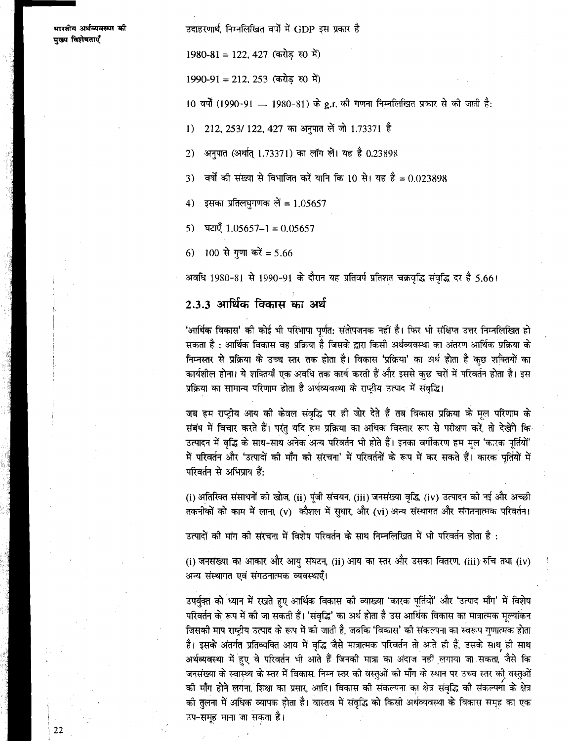उदाहरणार्थ. निम्नलिखित वर्षों में GDP इस प्रकार है

 $1980-81 = 122, 427$  (करोड रु0 में)

 $1990-91 = 212, 253$  (करोड रु0 में)

10 वर्षों (1990-91 — 1980-81) के g.r. की गणना निम्नलिखित प्रकार से की जाती है:

212, 253/ 122, 427 का अनुपात लें जो 1.73371 है  $\left| \right|$ 

- अनपात (अर्थात् 1.73371) का लॉग लें। यह है 0.23898  $2)$
- वर्षों की संख्या से विभाजित करें यानि कि 10 से। यह है = 0.023898  $\mathcal{L}$
- इसका प्रतिलघगणक लें = 1.05657  $4)$
- घटाएँ  $1.05657 1 = 0.05657$  $5)$
- 100 से गणा करें = 5.66  $(6)$

अवधि 1980-81 से 1990-91 के दौरान यह प्रतिवर्ष प्रतिशत चक्रवृद्धि संवृद्धि दर है 5.661

## 2.3.3 आर्थिक विकास का अर्थ

'आर्थिक विकास' को कोई भी परिभाषा पूर्णत: संतोषजनक नहीं है। फिर भी संक्षिप्त उत्तर निम्नलिखित हो सकता है : आर्थिक विकास वह प्रक्रिया है जिसके द्वारा किसी अर्थव्यवस्था का अंतरण आर्थिक प्रक्रिया के निम्नस्तर से प्रक्रिया के उच्च स्तर तक होता है। विकास 'प्रक्रिया' का अर्थ होता है कुछ शक्तियों का कार्यशील होना। ये शक्तियाँ एक अवधि तक कार्य करती हैं और इससे कुछ चरों में परिवर्तन होता है। इस प्रक्रिया का सामान्य परिणाम होता है अर्थव्यवस्था के राष्ट्रीय उत्पाद में संवृद्धि।

जब हम राष्ट्रीय आय की केवल संवृद्धि पर ही जोर देते हैं तब विकास प्रक्रिया के मूल परिणाम के संबंध में विचार करते हैं। परंतु यदि हम प्रक्रिया का अधिक विस्तार रूप से परीक्षण करें, तो देखेंगे कि उत्पादन में वृद्धि के साथ-साथ अनेक अन्य परिवर्तन भी होते हैं। इनका वर्गीकरण हम मूल 'कारक पर्तियों' .<br>में परिवर्तन और 'उत्पादों की माँग की संरचना' में परिवर्तनों के रूप में कर सकते हैं। कारक पर्तियों में परिवर्तन से अभिप्राय हैं:

(i) अतिरिक्त संसाधनों को खोज, (ii) पूंजी संचयन, (iii) जनसंख्या वृद्धि, (iv) उत्पादन की नई और अच्छी तकनीकों को काम में लाना (v) कौशल में सधार, और (vi) अन्य संस्थागत और संगठनात्मक परिवर्तन।

उत्पादों की मांग की संरचना में विशेष परिवर्तन के साथ निम्नलिखित में भी परिवर्तन होता है :

(i) जनसंख्या का आकार और आयु संघटन, (ii) आय का स्तर और उसका वितरण, (iii) रुचि तथा (iv) अन्य संस्थागत एवं संगठनात्मक व्यवस्थाएँ।

उपर्यक्त को ध्यान में रखते हुए आर्थिक विकास को व्याख्या 'कारक पूर्तियों' और 'उत्पाद माँग' में विशेष परिवर्तन के रूप में की जा सकती हैं। 'संवृद्धि' का अर्थ होता है उस आर्थिक विकास का मात्रात्मक मूल्यांकन जिसकी माप राष्ट्रीय उत्पाद के रूप में की जाती है, जबकि 'विकास' की संकल्पना का स्वरूप गुणात्मक होता है। इसके अंतर्गत प्रतिव्यक्ति आय में वृद्धि जैसे मात्रात्मक परिवर्तन तो आते ही हैं, उसके साथ ही साथ .<br>अर्थव्यवस्था में हुए वे परिवर्तन भी आते हैं जिनकी मात्रा का अंदाज नहीं लगाया जा सकता जैसे कि जनसंख्या के स्वास्थ्य के स्तर में विकास. निम्न स्तर की वस्तुओं की माँग के स्थान पर उच्च स्तर की वस्तुओं को माँग होने लगना, शिक्षा का प्रसार, आदि। विकास को संकल्पना का क्षेत्र संवृद्धि को संकल्पना के क्षेत्र की तुलना में अधिक व्यापक होता है। वास्तव में संवृद्धि को किसी अर्थव्यवस्था के विकास समूह का एक उप-समूह माना जा सकता है।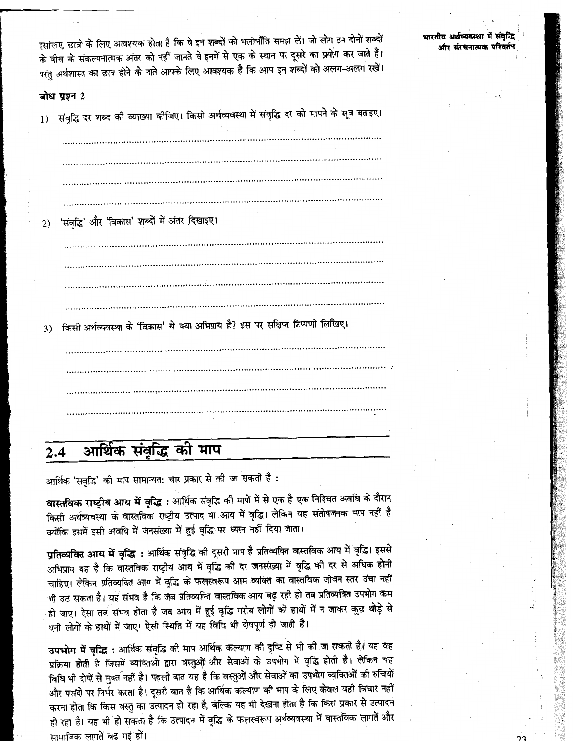भारतीय अर्थव्यवस्था में संवृद्धि और संस्थनात्मक परिवर्त

इसलिए, छात्रों के लिए आवश्यक होता है कि वे इन शब्दों को भलीभाँति समझ लें। जो लोग इन दोनों शब्दों के बीच के संकल्पनात्मक अंतर को नहीं जानते वे इनमें से एक के स्थान पर दूसरे का प्रयोग कर जाते हैं। परंतु अर्थशास्त्र का छात्र होने के नाते आपके लिए आवश्यक है कि आप इन शब्दों को अलग-अलग रखें।

### बोध पण्न 2

1) संवृद्धि दर शब्द की व्याख्या कीजिए। किसी अर्थव्यवस्था में संवृद्धि दर को मापने के सूत्र बताइए।

2) 'संवृद्धि' और 'विकास' शब्दों में अंतर दिखाइए। किसी अर्थव्यवस्था के 'विकास' से क्या अभिप्राय है? इस पर संक्षिप्त टिप्पणी लिखिए।

#### आर्थिक संवृद्धि की माप  $2.4$

आर्थिक 'संवृद्धि' की माप सामान्यत: चार प्रकार से की जा सकती है :

वास्तविक राष्ट्रीय आय में वृद्धि : आर्थिक संवृद्धि की मापों में से एक है एक निश्चित अवधि के दौरान किसी अर्थव्यवस्था के वास्तविक राष्ट्रीय उत्पाद या आय में वृद्धि। लेकिन यह संतोपजनक माप नहीं है क्योंकि इसमें इसी अवधि में जनसंख्या में हुई वृद्धि पर ध्यान नहीं दिया जाता।

**प्रतिव्यक्ति आय में वृद्धि** : आर्थिक संवृद्धि की दूसरी माप है प्रतिव्यक्ति वास्तविक आय मे<sup>¦</sup>वृद्धि। इससे अभिप्राय यह है कि वास्तविक राष्ट्रीय आय में वृद्धि की दर जनसंख्या में वृद्धि की दर से अधिक होनी चाहिए। लेकिन प्रतिव्यक्ति आय में वृद्धि के फलस्वरूप आम व्यक्ति का वास्तविक जीवन स्तर उंचा नहीं भी उठ सकता है। यह संभव है कि जब प्रतिव्यक्ति वास्तविक आय बढ़ रही हो तब प्रतिव्यक्ति उपभोग कम हो जाए। ऐसा तब संभव होता है जब आय में हुई वृद्धि गरीब लोगों को हाथों में न जाकर कुछ थोड़े से धनी लोगों के हाथों में जाए। ऐसी स्थिति में यह विधि भी दोषपूर्ण हो जाती है।

उपभोग में वृद्धि : आर्थिक संवृद्धि की माप आर्थिक कल्याण की दृष्टि से भी की जा सकती है। यह वह प्रक्रिया होती है जिसमें व्यक्तिओं द्वारा वस्तुओं और सेवाओं के उपभोग में वृद्धि होती है। लेकिन यह विधि भी दोपों से मुक्त नहीं है। पहली बात यह है कि वस्तुओं और सेवाओं का उपभोग व्यक्तिओं की रुचियों और पसंदों पर निर्भर करता है। दूसरी बात है कि आर्थिक कल्याण की माप के लिए केवल यही विचार नहीं करना होता कि किस वस्तु का उत्पादन हो रहा है, बल्कि यह भी देखना होता है कि किस प्रकार से उत्पादन हो रहा है। यह भी हो सकता है कि उत्पादन में वृद्धि के फलस्वरूप अर्थव्यवस्था में वास्तविक लागतें और सामाजिक लागतें बढ़ गई हों।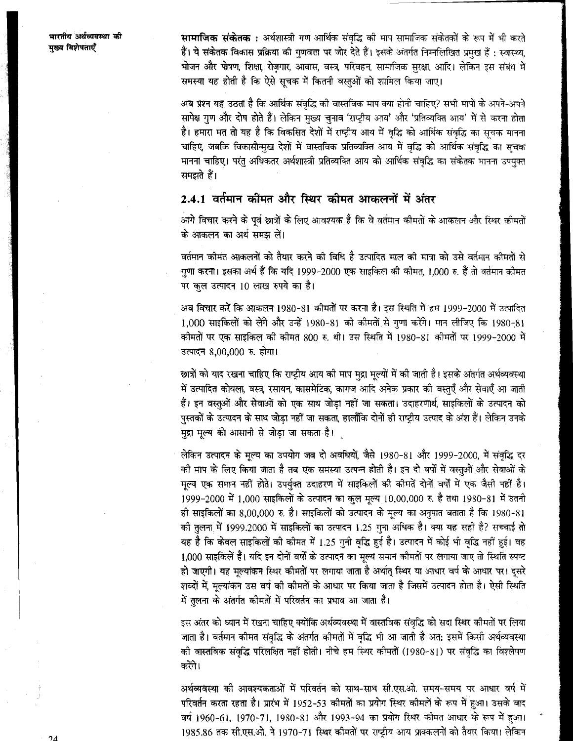सामाजिक संकेतक : अर्थशास्त्री गण आर्थिक संवृद्धि की माप सामाजिक संकेतकों के रूप में भी करते हैं। ये संकेतक विकास प्रक्रिया की गुणवत्ता पर जोर देते हैं। इसके अंतर्गत निम्नलिखित प्रमुख हैं : स्वास्थ्य, भोजन और पोषण, शिक्षा, रोज़गार, आवास, वस्त्र, परिवहन, सामाजिक सुरक्षा, आदि। लेकिन इस संबंध में समस्या यह होती है कि ऐसे सुचक में कितनी वस्तुओं को शामिल किया जाए।

अब प्रश्न यह उठता है कि आर्थिक संवद्धि की वास्तविक माप क्या होनी चाहिए? सभी मापों के अपने-अपने सापेक्ष गुण और दोष होते हैं। लेकिन मुख्य चुनाव 'राष्ट्रीय आय' और 'प्रतिव्यक्ति आय' में से करना होता है। हमारा मत तो यह है कि विकसित देशों में राष्ट्रीय आय में वृद्धि को आर्थिक संवृद्धि का सूचक मानना चाहिए, जबकि विकासोन्मुख देशों में वास्तविक प्रतिव्यक्ति आय में वृद्धि को आर्थिक संवृद्धि का सूचक मानना चाहिए। परंतु अधिकतर अर्थशास्त्री प्रतिव्यक्ति आय को आर्थिक संवृद्धि का संकेतक मानना उपयुक्त समझते हैं।

# 2.4.1 वर्तमान कीमत और स्थिर कीमत आकलनों में अंतर

आगे विचार करने के पूर्व छात्रों के लिए आवश्यक है कि वे वर्तमान कीमतों के आकलन और स्थिर कीमतों के आकलन का अर्थ समझ लें।

वर्तमान कीमत आकलनों को तैयार करने की विधि है उत्पादित माल की मात्रा को उसे वर्तमान कीमतों से गुणा करना। इसका अर्थ हैं कि यदि 1999-2000 एक साइकिल की कोमत, 1,000 रु. हैं तो वर्तमान कीमत पर कुल उत्पादन 10 लाख रुपये का है।

अब विचार करें कि आकलन 1980-81 कीमतों पर करना है। इस स्थिति में हम 1999-2000 में उत्पादित 1,000 साइकिलों को लेंगे और उन्हें 1980-81 की कीमतों से गुणा करेंगे। मान लीजिए कि 1980-81 कीमतों पर एक साइकिल की कीमत 800 रु. थी। उस स्थिति में 1980-81 कीमतों पर 1999-2000 में उत्पादन 8,00,000 रु. होगा।

छात्रों को याद रखना चाहिए कि राष्ट्रीय आय की माप मुद्रा मूल्यों में की जाती है। इसके अंतर्गत अर्थव्यवस्था में उत्पादित कोयला, वस्त्र, रसायन, कासमेटिक, कागज आदि अनेक प्रकार की वस्तुएँ और सेवाएँ आ जाती हैं। इन वस्तुओं और सेवाओं को एक साथ जोड़ा नहीं जा सकता। उदाहरणार्थ, साइकिलों के उत्पादन को पुस्तकों के उत्पादन के साथ जोड़ा नहीं जा सकता, हालाँकि दोनों ही राष्ट्रीय उत्पाद के अंश हैं। लेकिन उनके मुद्रा मूल्य को आसानी से जोड़ा जा सकता है।

लेकिन उत्पादन के मूल्य का उपयोग जब दो अवधियों, जैसे 1980-81 और 1999-2000, में संवृद्धि दर की माप के लिए किया जाता है तब एक समस्या उत्पन्न होती है। इन दो वर्षों में वस्तुओं और सेवाओं के मूल्य एक समान नहीं होते। उपर्युक्त उदाहरण में साइकिलों की कीमतें दोनों वर्षों में एक जैसी नहीं है। 1999-2000 में 1,000 साइकिलों के उत्पादन का कुल मृत्य 10,00,000 रु. है तथा 1980-81 में उतनी ही साइकिलों का 8,00,000 रु. है। साइकिलों को उत्पादन के मूल्य का अनुपात बताता है कि 1980-81 की तुलना में 1999.2000 में साइकिलों का उत्पादन 1.25 गुना अधिक है। क्या यह सही है? सच्चाई तो यह है कि केवल साइकिलों को कीमत में 1.25 गुनी वृद्धि हुई है। उत्पादन में कोई भी वृद्धि नहीं हुई। वह 1,000 साइकिलें हैं। यदि इन दोनों वर्षों के उत्पादन का मूल्य समान कीमतों पर लगाया जाए तो स्थिति स्पष्ट हो जाएगी। यह मूल्यांकन स्थिर कोमतों पर लगाया जाता है अर्थात् स्थिर या आधार वर्ष के आधार पर। दूसरे शब्दों में, मूल्यांकन उस वर्ष की कीमतों के आधार पर किया जाता है जिसमें उत्पादन होता है। ऐसी स्थिति .<br>में तुलना के अंतर्गत कीमतों में परिवर्तन का प्रभाव आ जाता है।

इस अंतर को ध्यान में रखना चाहिए क्योंकि अर्थव्यवस्था में वास्तविक संवृद्धि को सदा स्थिर कीमतों पर लिया जाता है। वर्तमान कीमत संवृद्धि के अंतर्गत कीमतों में वृद्धि भी आ जाती है अत: इसमें किसी अर्थव्यवस्था की वास्तविक संवृद्धि परिलक्षित नहीं होती। नीचे हम स्थिर कीमतों (1980-81) पर संवृद्धि का विश्लेषण करेंगे।

अर्थव्यवस्था की आवश्यकताओं में परिवर्तन को साथ-साथ सी.एस.ओ. समय-समय पर आधार वर्ष में परिवर्तन करता रहता है। प्रारंभ में 1952-53 कीमतों का प्रयोग स्थिर कीमतों के रूप में हुआ। उसके बाद वर्ष 1960-61, 1970-71, 1980-81 और 1993-94 का प्रयोग स्थिर कीमत आधार के रूप में हुआ। 1985.86 तक सी.एस.ओ. ने 1970-71 स्थिर कीमतों पर राष्ट्रीय आय प्राक्कलनों को तैयार किया। लेकिन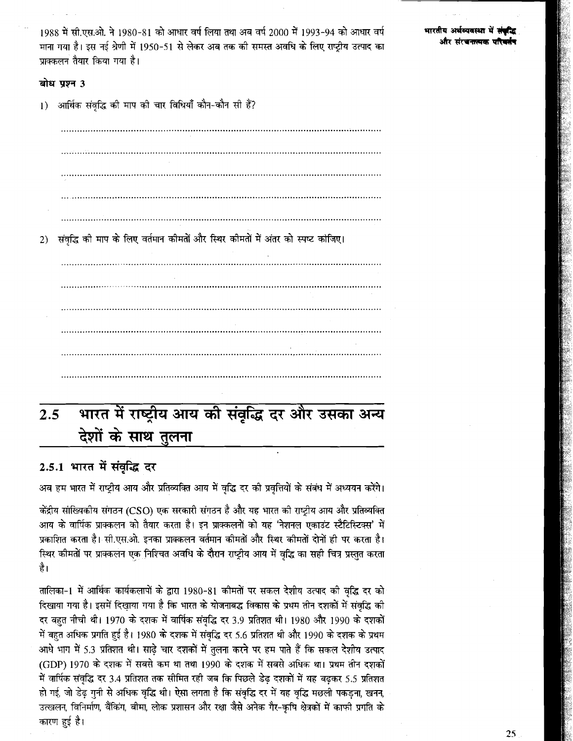1988 में सी.एस.ओ. ने 1980-81 को आधार वर्ष लिया तथा अब वर्ष 2000 में 1993-94 को आधार वर्ष माना गया है। इस नई श्रेणी में 1950-51 से लेकर अब तक की समस्त अवधि के लिए राष्ट्रीय उत्पाद का पाक्कलन तैयार किया गया है।

भारतीय अर्थव्यवस्था में र और चेरबकबाद

### बोध प्रश्न 3

आर्थिक संवद्धि की माप की चार विधियाँ कौन-कौन सी हैं?  $1)$ 

संवृद्धि की माप के लिए वर्तमान कीमतों और स्थिर कीमतों में अंतर को स्पष्ट कोजिए।  $2)$ 

# भारत में राष्ट्रीय आय की संवृद्धि दर और उसका अन्य  $2.5$ देशों के साथ तुलना

# 2.5.1 भारत में संवृद्धि दर

अब हम भारत में राष्ट्रीय आय और प्रतिव्यक्ति आय में वृद्धि दर की प्रवृत्तियों के संबंध में अध्ययन करेंगे।

केंद्रीय सांख्यिकीय संगठन (CSO) एक सरकारी संगठन है और यह भारत की राष्ट्रीय आय और प्रतिव्यक्ति आय के वार्षिक प्राक्कलन को तैयार करता है। इन प्राक्कलनों को यह 'नेशनल एकाउंट स्टैटिस्टिक्स' में प्रकाशित करता है। सी.एस.ओ. इनका प्राक्कलन वर्तमान कीमतों और स्थिर कीमतों दोनों ही पर करता है। स्थिर कीमतों पर प्राक्कलन एक निश्चित अवधि के दौरान राष्ट्रीय आय में वृद्धि का सही चित्र प्रस्तुत करता है।

तालिका-1 में आर्थिक कार्यकलापों के द्वारा 1980-81 कीमतों पर सकल देशीय उत्पाद की वृद्धि दर को दिखाया गया है। इसमें दिखाया गया है कि भारत के योजनाबद्ध विकास के प्रथम तीन दशकों में संवृद्धि की दर बहुत नीची थी। 1970 के दशक में वार्षिक संवृद्धि दर 3.9 प्रतिशत थी। 1980 और 1990 के दशकों में बहुत अधिक प्रगति हुई है। 1980 के दशक में संवृद्धि दर 5.6 प्रतिशत थी और 1990 के दशक के प्रथम आधे भाग में 5.3 प्रतिशत थी। साढे चार दशकों में तुलना करने पर हम पाते हैं कि सकल देशीय उत्पाद (GDP) 1970 के दशक में सबसे कम था तथा 1990 के दशक में सबसे अधिक था। प्रथम तीन दशकों में वार्षिक संवृद्धि दर 3.4 प्रतिशत तक सीमित रही जब कि पिछले डेढ़ दशकों में यह बढ़कर 5.5 प्रतिशत हो गई, जो डेढ़ गुनी से अधिक वृद्धि थी। ऐसा लगता है कि संवृद्धि दर में यह वृद्धि मछली पकड़ना, खनन, उत्खलन, विनिर्माण, बैंकिंग, बीमा, लोक प्रशासन और रक्षा जैसे अनेक गैर-कृषि क्षेत्रकों में काफी प्रगति के कारण हुई है।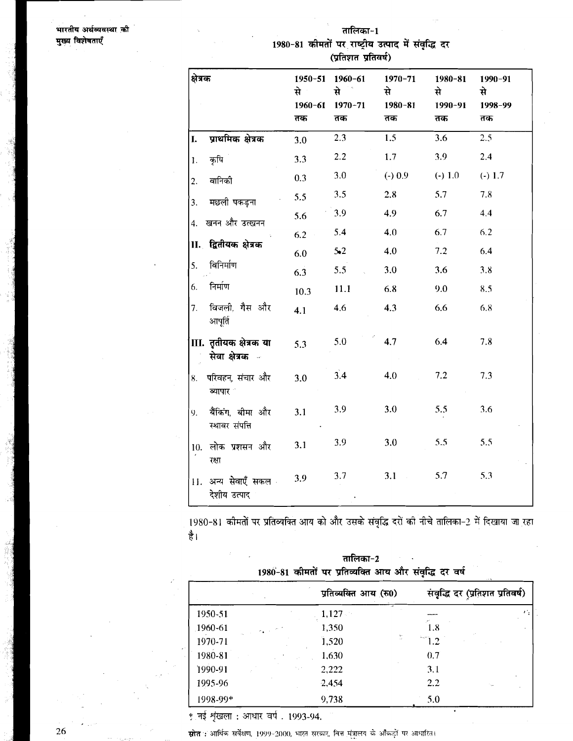भारतीय अर्थव्यवस्था की मुख्य विशेषताएँ

तालिका~1

1980-81 कीमतों पर राष्ट्रीय उत्पाद में संवृद्धि दर (प्रतिशत प्रतिवर्ष)

| क्षेत्रक         |                                                  | 1950-51<br>से ।<br>1960-61<br>तक | 1960-61<br>से<br>$1970 - 71$<br>तक | $1970 - 71$<br>से<br>$1980 - 81$<br>तक | 1980-81<br>से<br>$1990 - 91$<br>तक | 1990-91<br>से<br>1998-99<br>तक |
|------------------|--------------------------------------------------|----------------------------------|------------------------------------|----------------------------------------|------------------------------------|--------------------------------|
| I.               | प्राथमिक क्षेत्रक                                | 3.0                              | 2.3                                | 1.5                                    | 3.6                                | 2.5                            |
| $\mathbf{1}$ .   | कृषि                                             | 3.3                              | $2.2\,$                            | 1.7                                    | 3.9                                | 2.4                            |
| $\overline{2}$ . | वानिकी                                           | 0.3                              | 3.0                                | $(-) 0.9$                              | $(-) 1.0$                          | $(-) 1.7$                      |
| 3.               | मछली पकड़ना                                      | 5.5                              | 3.5                                | 2.8                                    | 5.7                                | 7.8                            |
| 4.               | खनन और उत्खनन                                    | 5.6                              | 3.9                                | 4.9                                    | 6.7                                | 4.4                            |
|                  |                                                  | 6.2                              | 5.4                                | 4.0                                    | 6.7                                | 6.2                            |
|                  | II. द्वितीयक क्षेत्रक                            | 6.0                              | $5-2$                              | 4.0                                    | 7.2                                | 6.4                            |
| 5.               | विनिर्माण                                        | 6.3                              | 5.5                                | 3.0                                    | 3.6                                | 3.8                            |
| 6.               | निर्माण                                          | 10.3                             | 11.1                               | 6.8                                    | 9.0                                | 8.5                            |
| 7.               | विजली. गैस और<br>आपर्ति                          | 4.1                              | 4.6                                | 4.3                                    | 6.6                                | 6.8                            |
|                  | Ⅲ. तृतीयक क्षेत्रक या<br>सेवा क्षेत्रक क         | 5.3                              | 5.0                                | 4.7                                    | 6.4                                | 7.8                            |
| 8.               | परिवहन, संचार और<br>व्यापार "                    | 3.0                              | 3.4                                | 4.0                                    | 7.2                                | 7.3                            |
| 9 <sub>1</sub>   | बैंकिंग बीमा और<br>स्थावर संपत्ति                | 3.1                              | 3.9                                | 3.0                                    | 5.5                                | 3.6                            |
| 10.              | लोक प्रशसन और<br>रक्षा                           | 3.1                              | 3.9                                | 3.0                                    | 5.5                                | 5.5                            |
|                  | <sup>'</sup> 11. अन्य सेवाएँ सकल<br>देशीय उत्पाद | 3.9                              | 3.7                                | 3.1<br>$\mathcal{L}_{\mathcal{A}}$     | 5.7                                | 5.3                            |

1980-81 कोमतों पर प्रतिव्यक्ति आय को और उसके संवृद्धि दरों की नीचे तालिका-2 में दिखाया जा रहा है।

| 1980-81 कामता पर प्रातव्याक्त आय आर संवाद्ध दर वर्ष |                       |                                 |  |  |  |
|-----------------------------------------------------|-----------------------|---------------------------------|--|--|--|
|                                                     | प्रतिव्यक्ति आय (रु0) | संवृद्धि दर (प्रतिशत प्रतिवर्ष) |  |  |  |
| 1950-51                                             | 1,127                 | $\mathbb{Z}^n$                  |  |  |  |
| 1960-61                                             | 1,350                 | 1.8                             |  |  |  |
| 1970-71                                             | 1,520                 | ÷<br>$-1.2$                     |  |  |  |
| 1980-81                                             | 1,630                 | 0.7                             |  |  |  |
| 1990-91                                             | 2,222                 | 3.1                             |  |  |  |
| 1995-96                                             | 2,454                 | 2.2                             |  |  |  |
| 1998-99*                                            | 9,738                 | 5.0                             |  |  |  |

तालिका-2

\* नई शृंखला : आधार वर्ष . 1993-94.

स्रोत : आर्थिक सर्वेक्षण, 1999-2000, भारत सरकार, वित्त मंत्रालय के आँकड़ों पर आधारित।

26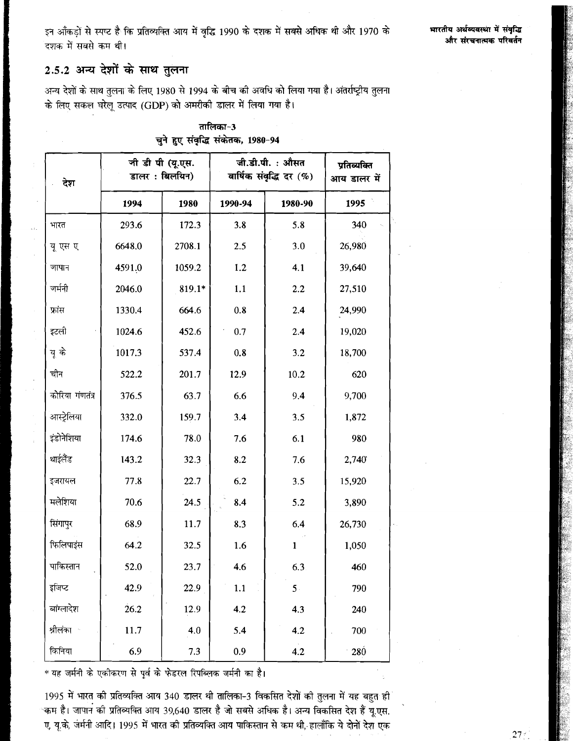इन आँकडों से स्पष्ट है कि प्रतिव्यक्ति आय में वृद्धि 1990 के दशक में सबसे अधिक थी और 1970 के .<br>दशक में सबसे कम थी।

# 2.5.2 अन्य देशों के साथ तुलना

अन्य देशों के साथ तुलना के लिए 1980 से 1994 के बीच की अवधि को लिया गया है। अंतर्राष्ट्रीय तुलना के लिए सकल घरेलू उत्पाद (GDP) को अमरीकी डालर में लिया गया है।

| देश             | जी डी पी (यू.एस.<br>डालर: बिलयिन) |        | जी.डी.पी. : औसत<br>वार्षिक संवृद्धि दर (%) | प्रतिव्यक्ति<br>आय डालर में |            |
|-----------------|-----------------------------------|--------|--------------------------------------------|-----------------------------|------------|
|                 | 1994                              | 1980   | 1990-94                                    | 1980-90                     | 1995       |
| भारत            | 293.6                             | 172.3  | 3.8                                        | 5.8                         | 340        |
| यू एस ए         | 6648.0                            | 2708.1 | 2.5                                        | 3.0                         | 26,980     |
| जापान           | 4591.0                            | 1059.2 | 1.2                                        | 4.1                         | 39,640     |
| जर्मनी          | 2046.0                            | 819.1* | 1.1                                        | 2.2                         | 27,510     |
| फ्रांस          | 1330.4                            | 664.6  | 0.8                                        | 2.4                         | 24,990     |
| इटली            | 1024.6                            | 452.6  | 0.7                                        | 2.4                         | 19,020     |
| यू के           | 1017.3                            | 537.4  | 0.8                                        | 3.2                         | 18,700     |
| चीन             | 522.2                             | 201.7  | 12.9                                       | 10.2                        | 620        |
| कोरिया गंणतंत्र | 376.5                             | 63.7   | 6.6                                        | 9.4                         | 9,700      |
| आस्ट्रेलिया     | 332.0                             | 159.7  | 3.4                                        | 3.5                         | 1,872      |
| इंडोनेशिया      | 174.6                             | 78.0   | 7.6                                        | 6.1                         | 980        |
| थाईलैंड         | 143.2                             | 32.3   | 8.2                                        | 7.6                         | 2,740      |
| इजरायल          | 77.8                              | 22.7   | 6.2                                        | 3.5                         | 15,920     |
| मलेशिया         | 70.6                              | 24.5   | 8.4                                        | 5.2                         | 3,890      |
| सिंगापुर        | 68.9                              | 11.7   | 8.3                                        | 6.4                         | 26,730     |
| फिलिपाइंस       | 64.2                              | 32.5   | 1.6                                        | $\mathbf{1}$                | 1,050      |
| पाकिस्तान       | 52.0                              | 23.7   | 4.6                                        | 6.3                         | 460        |
| इजिप्ट          | 42.9                              | 22.9   | 1.1                                        | 5.                          | 790        |
| बांग्लादेश      | 26.2                              | 12.9   | 4.2                                        | 4.3                         | 240        |
| श्रीलंका        | 11.7                              | 4.0    | 5.4                                        | 4.2                         | 700        |
| किनिया          | 6.9                               | 7.3    | 0.9                                        | 4.2                         | <b>280</b> |

## तालिका-3 चुने हुए संवृद्धि संकेतक, 1980-94

\* यह जर्मनी के एकीकरण से पूर्व के फेडरल रिपब्लिक जर्मनी का है।

1995 में भारत की प्रतिव्यक्ति आय 340 डालर थी तालिका-3 विकसित देशों की तुलना में यह बहुत ही ्कम है। जापान की प्रतिव्यक्ति आय 39,640 डालर है जो सबसे अधिक है। अन्य विकसित देश हैं यू.एस. ए, यू.के, जर्मनी आदि। 1995 में भारत की प्रतिव्यक्ति आय पाकिस्तान से कम थी, हालाँकि ये दोनों देश एक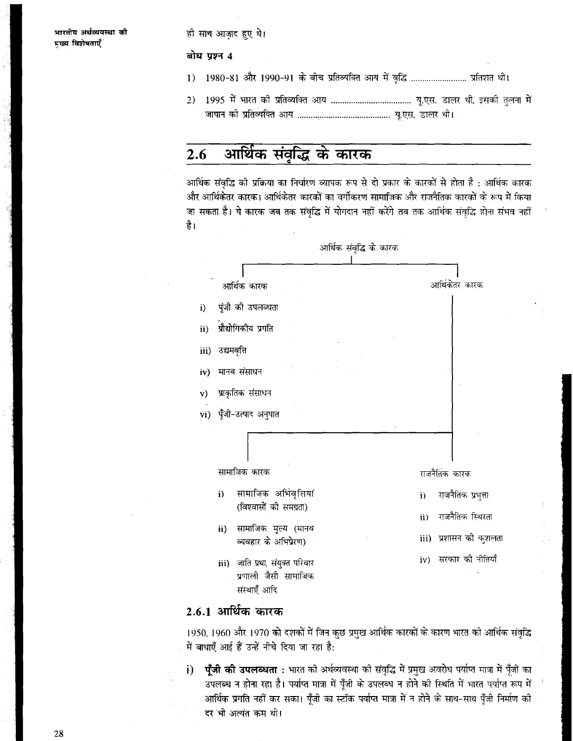ही साथ आजाद हुए थे।

## बोध प्रश्न 4

- $1)$ 1980-81 और 1990-91 के बीच प्रतिव्यक्ति आय में वृद्धि .......................... प्रतिशत थी।
- $2)$

#### आर्थिक संवृद्धि के कारक  $2.6$

आर्थिक संवृद्धि की प्रक्रिया का निर्धारण व्यापक रूप से दो प्रकार के कारकों से होता है : आर्थिक कारक और आर्थिकेतर कारक। आर्थिकेतर कारकों का वर्गीकरण सामाजिक और राजनैतिक कारकों के रूप में किया जा सकता है। ये कारक जब तक संवृद्धि में योगदान नहीं करेंगे तब तक आर्थिक संवृद्धि होना संभव नहीं है।



## 2.6.1 आर्थिक कारक

1950, 1960 और 1970 को दशकों में जिन कुछ प्रमुख आर्थिक कारकों के कारण भारत को आर्थिक संवृद्धि में बाधाएँ आई हैं उन्हें नीचे दिया जा रहा है:

**प्ँजी की उपलब्धता :** भारत की अर्थव्यवस्था की संवृद्धि में प्रमुख अवरोध पर्याप्त मात्रा में पूँजी का  $\mathbf{i}$ उपलब्ध न होना रहा है। पर्याप्त मात्रा में पूँजी के उपलब्ध न होने की स्थिति में भारत पर्याप्त रूप में आर्थिक प्रगति नहीं कर सका। पूँजी का स्टॉक पर्याप्त मात्रा में न होने के साथ-साथ पूँजी निर्माण की दर भी अत्यंत कम थी।

28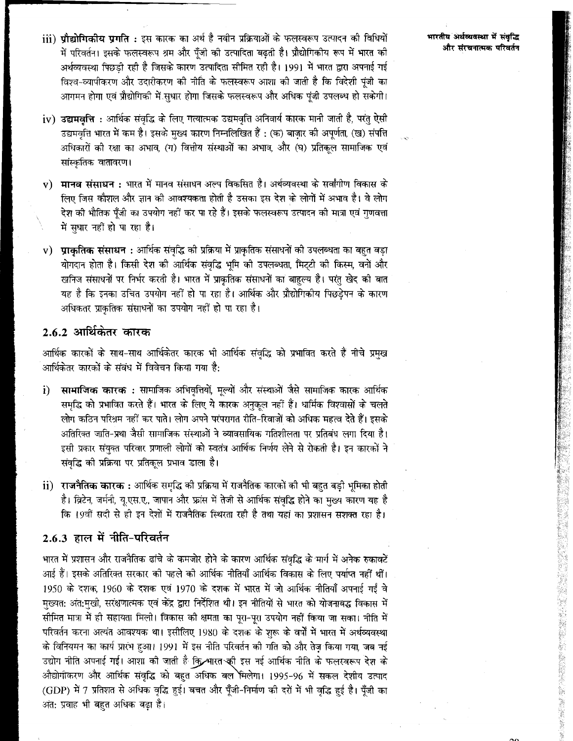iii) **पौद्योगिकीय प्रगति** : इस कारक का अर्थ है नवीन प्रक्रियाओं के फलस्वरूप उत्पादन की विधियों में परिवर्तन। इसके फलस्वरूप श्रम और पूँजी की उत्पादिता बढ़ती है। प्रौद्योगिकीय रूप में भारत की अर्थव्यवस्था पिछड़ी रही है जिसके कारण उत्पादिता सीमित रही है। 1991 में भारत द्वारा अपनाई गई विश्व-व्यापीकरण और उदारीकरण की नीति के फलस्वरूप आशा की जाती है कि विदेशी पंजी का आगमन होगा एवं प्रौद्योगिकी में सुधार होगा जिसके फलस्वरूप और अधिक पूंजी उपलब्ध हो सकेगी।

- $iv)$  उद्यमवृत्ति : आर्थिक संवृद्धि के लिए गत्यात्मक उद्यमवृत्ति अनिवार्य कारक मानी जाती है, परंतु ऐसी उद्यमवृत्ति भारत में कम है। इसके मुख्य कारण निम्नलिखित हैं : (क) बाज़ार की अपूर्णता, (ख) संपत्ति अधिकारों की रक्षा का अभाव, (ग) वित्तीय संस्थाओं का अभाव, और (घ) प्रतिकल सामाजिक एवं सांस्कृतिक वातावरण।
- v) मानव संसाधन : भारत में मानव संसाधन अल्प विकसित है। अर्थव्यवस्था के सर्वांगीण विकास के लिए जिस कौशल और ज्ञान की आवश्यकता होती है उसका इस देश के लोगों में अभाव है। वे लोग देश को भौतिक पँजी का उपयोग नहीं कर पा रहे हैं। इसके फलस्वरूप उत्पादन को मात्रा एवं गणवत्ता में सधार नहीं हो पा रहा है।
- प्राकृतिक संसाधन : आर्थिक संवृद्धि की प्रक्रिया में प्राकृतिक संसाधनों की उपलब्धता का बहुत बड़ा  $V)$ योगदान होता है। किसी देश की आर्थिक संवृद्धि भूमि की उपलब्धता, मिट्टी की किस्म, वनों और खनिज संसाधनों पर निर्भर करती है। भारत में प्राकृतिक संसाधनों का बाहुल्य है। परंतु खेद की बात यह है कि इनका उचित उपयोग नहीं हो पा रहा है। आर्थिक और प्रौद्योगिकीय पिछड़ेपन के कारण अधिकतर प्राकतिक संसाधनों का उपयोग नहीं हो पा रहा है।

# 2.6.2 आर्थिकेतर कारक

आर्थिक कारकों के साथ-साथ आर्थिकेतर कारक भी आर्थिक संवृद्धि को प्रभावित करते हैं नीचे प्रमुख आर्थिकेतर कारकों के संबंध में विवेचन किया गया है:

- सामाजिक कारक : सामाजिक अभिवृत्तियों, मूल्यों और संस्थाओं जैसे सामाजिक कारक आर्थिक  $\ddot{\mathbf{i}}$ समृद्धि को प्रभावित करते हैं। भारत के लिए ये कारक अनुकूल नहीं हैं। धार्मिक विश्वासों के चलते लोग कठिन परिश्रम नहीं कर पाते। लोग अपने परंपरागत रीति-रिवाजों को अधिक महत्व देते हैं। इसके अतिरिक्त जाति-प्रथा जैसी सामाजिक संस्थाओं ने व्यावसायिक गतिशीलता पर प्रतिबंध लगा दिया है। इसी प्रकार संयुक्त परिवार प्रणाली लोगों को स्वतंत्र आर्थिक निर्णय लेने से रोकती है। इन कारकों ने संवद्धि की प्रक्रिया पर प्रतिकल प्रभाव डाला है।
- ii) राजनैतिक कारक : आर्थिक समृद्धि की प्रक्रिया में राजनैतिक कारकों की भी बहुत बड़ी भूमिका होती है। ब्रिटेन, जर्मनी, यृ.एस.ए., जापान और फ्रांस में तेजी से आर्थिक संवृद्धि होने का मुख्य कारण यह है कि 19वीं सदी से ही इन देशों में राजनैतिक स्थिरता रही है तथा यहां का प्रशासन सशक्त रहा है।

## 2.6.3 हाल में नीति-परिवर्तन

भारत में प्रशासन और राजनैतिक ढांचे के कमजोर होने के कारण आर्थिक संवृद्धि के मार्ग में अनेक रुकावटें आई हैं। इसके अतिरिक्त सरकार की पहले की आर्थिक नीतियाँ आर्थिक विकास के लिए पर्याप्त नहीं थीं। 1950 के दशक, 1960 के दशक एवं 1970 के दशक में भारत में जो आर्थिक नीतियाँ अपनाई गईं वे मुख्यत: अंत:मुखी, सरंक्षणात्मक एवं केंद्र द्वारा निर्देशित थी। इन नीतियों से भारत को योजनाबद्ध विकास में सीमित मात्रा में ही सहायता मिली। विकास की क्षमता का पूरा-पूरा उपयोग नहीं किया जा सका। नीति में परिवर्तन करना अत्यंत आवश्यक था। इसीलिए 1980 के दशक के शुरू के वर्षों में भारत में अर्थव्यवस्था के विनियमन का कार्य प्रारंभ हुआ। 1991 में इस नीति परिवर्तन की गति को और तेज़ किया गया, जब नई उद्योग नीति अपनाई गई। आशा की जाती है कि शारत की इस नई आर्थिक नीति के फलस्वरूप देश के औद्योगीकरण और आर्थिक संवृद्धि को बहुत अधिक बल मिलेगा। 1995-96 में सकल देशीय उत्पाद (GDP) में 7 प्रतिशत से अधिक वृद्धि हुई। बचत और पूँजी-निर्माण की दरों में भी वृद्धि हुई है। पूँजी का अंत: प्रवाह भी बहुत अधिक बढ़ा है।

भारतीय अर्थव्यवस्था में संवृद्धि और संरचनात्मक परिवर्तन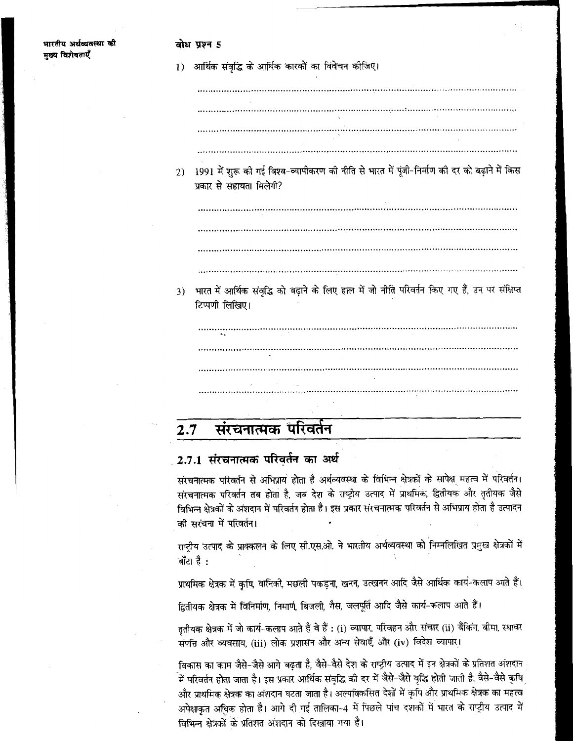#### बोध प्रश्न 5

1) आर्थिक संवृद्धि के आर्थिक कारकों का विवेचन कीजिए।

- 
- 2) 1991 में शुरू की गई विश्व-व्यापीकरण की नीति से भारत में पूंजी-निर्माण की दर को बढ़ाने में किस प्रकार से सहायता मिलेगी?

भारत में आर्थिक संवद्धि को बढाने के लिए हाल में जो नीति परिवर्तन किए गए हैं, उन पर संक्षिप्त 3) टिप्पणी लिखिए।

संरचनात्मक परिवर्तन  $2.7$ 

# 2.7.1 संरचनात्मक परिवर्तन का अर्थ

संरचनात्मक परिवर्तन से अभिप्राय होता है अर्थव्यवस्था के विभिन्न क्षेत्रकों के सापेक्ष महत्व में परिवर्तन। संरचनात्मक परिवर्तन तब होता है, जब देश के राष्ट्रीय उत्पाद में प्राथमिक, द्वितीयक और ततीयक जैसे विभिन्न क्षेत्रकों के अंशदान में परिवर्तन होता है। इस प्रकार संरचनात्मक परिवर्तन से अभिप्राय होता है उत्पादन की सरंचना में परिवर्तन।

राष्टीय उत्पाद के प्राक्कलन के लिए सी.एस.ओ. ने भारतीय अर्थव्यवस्था को निम्नलिखित प्रमुख क्षेत्रकों में बाँटा है :

प्राथमिक क्षेत्रक में कृषि, वानिकी, मछली पकड़ना, खनन, उत्खनन आदि जैसे आर्थिक कार्य-कलाप आते हैं।

द्वितीयक क्षेत्रक में विनिर्माण, निमार्ण, बिजली, गैस, जलपूर्ति आदि जैसे कार्य-कलाप आते हैं।

ततीयक क्षेत्रक में जो कार्य-कलाप आते हैं वे हैं : (i) व्यापार, परिवहन और संचार (ii) बैंकिंग, बीमा, स्थावर संपत्ति और व्यवसाय, (iii) लोक प्रशासन और अन्य सेवाएँ, और (iv) विदेश व्यापार।

विकास का काम जैसे-जैसे आगे बढ़ता है, वैसे-वैसे देश के राष्ट्रीय उत्पाद में इन क्षेत्रकों के प्रतिशत अंशदान .<br>में परिवर्तन होता जाता है। इस प्रकार आर्थिक संवृद्धि की दर में जैसे-जैसे वृद्धि होती जाती है, वैसे-वैसे कृषि और प्राथमिक क्षेत्रक का अंशदान घटता जाता है। अल्पविकसित देशों में कृषि और प्राथमिक क्षेत्रक का महत्व अपेक्षाकृत अधिक होता है। आगे दी गई तालिका-4 में पिछले पांच दशकों में भारत के राष्ट्रीय उत्पाद में विभिन्न क्षेत्रकों के प्रतिशत अंशदान को दिखाया गया है।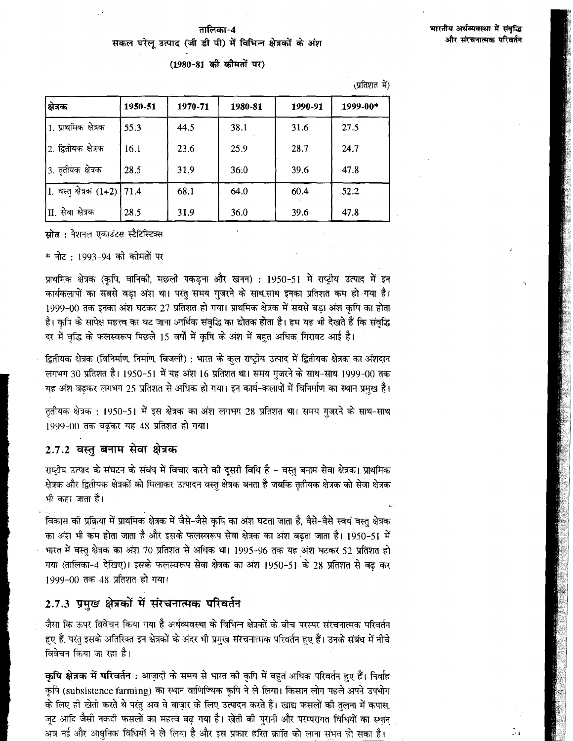$m \rightarrow N$ 

## तालिका−4 सकल घरेलू उत्पाद (जी डी पी) में विभिन्न क्षेत्रकों के अंश

(1980-81 की कीमतों पर)

|                                 |         |         |         |         | , די ויוצויוגי |
|---------------------------------|---------|---------|---------|---------|----------------|
| क्षेत्रक                        | 1950-51 | 1970-71 | 1980-81 | 1990-91 | 1999-00*       |
| 1. प्राथमिक क्षेत्रक            | 55.3    | 44.5    | 38.1    | 31.6    | 27.5           |
| 2. द्वितीयक क्षेत्रक            | 16,1    | 23.6    | 25.9    | 28.7    | 24.7           |
| <sup> </sup> 3. तृतीयक क्षेत्रक | 28.5    | 31.9    | 36:0    | 39.6    | 47.8           |
| I. वस्तु क्षेत्रक (1+2) 71.4    |         | 68.1    | 64.0    | 60.4    | 52.2           |
| <sup>∣</sup> II. सेवा क्षेत्रक  | 28.5    | 31.9    | 36.0    | 39.6    | 47.8           |

**स्रोत** : नेशनल एकाउंटस स्टैटिस्टिक्स

\* नोट : 1993-94 को कोमतों पर

प्राथमिक क्षेत्रक (कृषि, वानिकी, मछली पकड़ना और खनन) : 1950-51 में राष्ट्रीय उत्पाद में इन कार्यकलापों का सबसे बड़ा अंश था। परंतु समय गुजरने के साथ.साथ इनका प्रतिशत कम हो गया है। 1999-00 तक इनका अंश घटकर 27 प्रतिशत हो गया। प्राथमिक क्षेत्रक में सबसे बड़ा अंश कृषि का होता है। कृषि के सापेक्ष महत्त्व का घट जाना आर्थिक संवृद्धि का द्योतक होता है। हम यह भी देखते हैं कि संवृद्धि दर में वृद्धि के फलस्वरूप पिछले 15 वर्षों में कृषि के अंश में बहुत अधिक गिरावट आई है।

द्वितीयक क्षेत्रक (विनिर्माण, निर्माण, बिजली) : भारत के कुल राष्ट्रीय उत्पाद में द्वितीयक क्षेत्रक का अंशदान लगभग 30 प्रतिशत है। 1950-51 में यह अंश 16 प्रतिशत था। समय गुजरने के साथ-साथ 1999-00 तक यह अंश बढ़कर लगभग 25 प्रतिशत से अधिक हो गया। इन कार्य-कलापों में विनिर्माण का स्थान प्रमुख है।

तृतीयक क्षेत्रक : 1950-51 में इस क्षेत्रक का अंश लगभग 28 प्रतिशत था। समय गुजरने के साथ-साथ 1999-00 तक बढ़कर यह 48 प्रतिशत हो गया।

### 2.7.2 वस्तु बनाम सेवा क्षेत्रक

राष्ट्रीय उत्पाद के संघटन के संबंध में विचार करने की दूसरी विधि है - वस्तु बनाम सेवा क्षेत्रक। प्राथमिक क्षेत्रक और द्वितीयक क्षेत्रकों को मिलाकर उत्पादन वस्तु क्षेत्रक बनता है जबकि तृतीयक क्षेत्रक को सेवा क्षेत्रक भी कहा जाता है।

विकास की प्रक्रिया में प्राथमिक क्षेत्रक में जैसे-जैसे कृषि का अंश घटता जाता है, वैसे-वैसे स्वयं वस्तु क्षेत्रक का अंश भी कम होता जाता है और इसके फलस्वरूप सेवा क्षेत्रक का अंश बढ़ता जाता है। 1950-51 में भारत में वस्तु क्षेत्रक का अंश 70 प्रतिशत से अधिक था। 1995-96 तक यह अंश घटकर 52 प्रतिशत हो गया (तालिका-4 देखिए)। इसके फलस्वरूप सेवा क्षेत्रक का अंश 1950-51 के 28 प्रतिशत से बढ कर 1999-00 तक 48 प्रतिशत हो गया।

# 2.7.3 प्रमुख क्षेत्रकों में संरचनात्मक परिवर्तन

जैसा कि ऊपर विवेचन किया गया है अर्थव्यवस्था के विभिन्न क्षेत्रकों के वीच परस्पर संरचनात्मक परिवर्तन हुए हैं, परंतु इसके अतिरिक्त इन क्षेत्रकों के अंदर भी प्रमुख संरचनात्मक परिवर्तन हुए हैं। उनके संबंध में नीचे विवेचन किया जा रहा है।

कृषि क्षेत्रक में परिवर्तन : आज़ादी के समय से भारत की कृषि में बहुत अधिक परिवर्तन हुए हैं। निर्वाह कृषि (subsistence farming) का स्थान वाणिज्यिक कृषि ने ले लिया। किसान लोग पहले अपने उपभोग के लिए ही खेती करते थे परंतु अव वे बाज़ार के लिए उत्पादन करते हैं। खाद्य फसलों की तुलना में कपास, जूट आदि जैसी नकदी फसलों का महत्व बढ़ गया है। खेती की पुरानी और परम्परागत विधियों का स्थान अब नई और आधुनिक विधियों ने ले लिया है और इस प्रकार हरित क्रांति को लाना संभव हो सका है।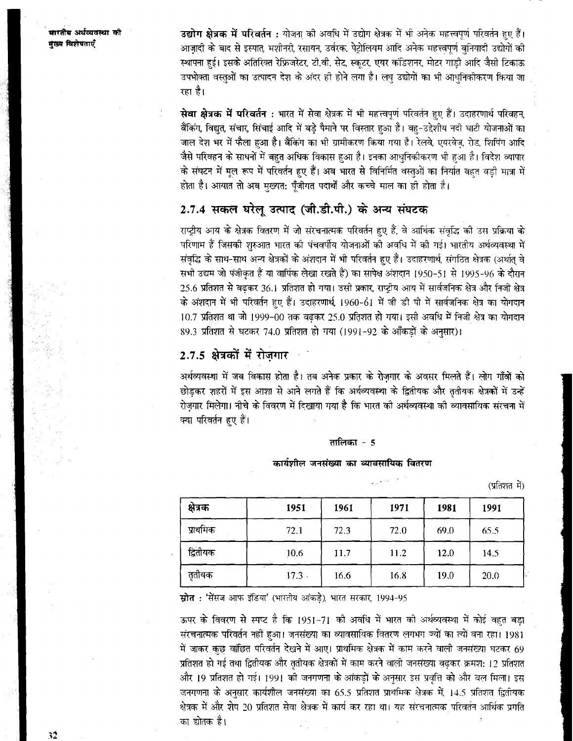भारतीय अर्थव्यवस्था की मरस्य चित्रोषतार्ग

उद्योग क्षेत्रक में परिवर्तन : योजना की अवधि में उद्योग क्षेत्रक में भी अनेक महत्त्वपर्ण परिवर्तन हुए हैं। आजादी के बाद से इस्पात. मशीनरी. रसायन. उर्वरक. पेटोलियम आदि अनेक महत्त्वपर्ण बनियादी उद्योगों की स्थापना हुई। इसके अतिरिक्त रेफ्रिजरेटर, टी.वी. सेट, स्कूटर, एयर कॉडशनर, मोटर गाडी आदि जैसी टिकाऊ उपभोक्ता वस्तुओं का उत्पादन देश के अंदर ही होने लगा है। लघ उद्योगों का भी आधनिकीकरण किया जा रहा है।

सेवा क्षेत्रक में परिवर्तन : भारत में सेवा क्षेत्रक में भी महत्त्वपर्ण परिवर्तन हुए हैं। उदाहरणार्थ परिवहन् बैंकिंग, विद्युत, संचार, सिंचाई आदि में बड़े पैमाने पर विस्तार हुआ है। वह-उद्देशीय नदी घाटी योजनाओं का जाल देश भर में फैला हुआ है। बैंकिंग का भी ग्रामीकरण किया गया है। रेलवे, एयरवेज, रोड, शिपिंग आदि जैसे परिवहन के साधनों में बहुत अधिक विकास हुआ है। इनका आधुनिकीकरण भी हुआ है। विदेश व्यापार के संघटन में मूल रूप में परिवर्तन हुए हैं। अब भारत से विनिर्मित वस्तुओं का निर्यात बहुत बड़ी मात्रा में होता है। आयात तो अब मुख्यत: पँजीगत पदार्थों और कच्चे माल का ही होता है।

# 2.7.4 सकल घरेल उत्पाद (जी.डी.पी.) के अन्य संघटक

राष्टीय आय के क्षेत्रक वितरण में जो संरचनात्मक परिवर्तन हुए हैं. वे आर्थिक संवद्धि की उस प्रक्रिया के परिणाम हैं जिसकी शरुआत भारत की पंचवर्षीय योजनाओं की अवधि में की गई। भारतीय अर्थव्यवस्था में संवृद्धि के साथ-साथ अन्य क्षेत्रकों के अंशदान में भी परिवर्तन हुए हैं। उदाहरणार्थ, संगठित क्षेत्रक (अर्थात् वे सभी उद्यम जो पंजीकृत हैं या वार्षिक लेखा रखते हैं) का सापेक्ष अंशदान 1950-51 से 1995-96 के दौरान 25.6 प्रतिशत से बढकर 36.1 प्रतिशत हो गया। उसी प्रकार, राष्ट्रीय आय में सार्वजनिक क्षेत्र और निजी क्षेत्र के अंशदान में भी परिवर्तन हुए हैं। उदाहरणार्थ, 1960-61 में जी डी पी में सार्वजनिक क्षेत्र का योगदान 10.7 प्रतिशत था जो 1999-00 तक बढकर 25.0 प्रतिशत हो गया। इसी अवधि में निजी क्षेत्र का योगदान 89.3 प्रतिशत से घटकर 74.0 प्रतिशत हो गया (1991-92 के आँकड़ों के अनुसार)।

# 2.7.5 क्षेत्रकों में रोजगार

अर्थव्यवस्था में जब विकास होता है। तब अनेक प्रकार के रोजगार के अवसर मिलते हैं। लोग गाँवों को छोड़कर शहरों में इस आशा से आने लगते हैं कि अर्थव्यवस्था के द्वितीयक और ततीयक क्षेत्रकों में उन्हें रोजगार मिलेगा। नीचे के विवरण में दिखाया गया है कि भारत की अर्थव्यवस्था की व्यावसायिक संरचना में क्या परिवर्तन हुए हैं।

#### तालिका -  $5$

कार्यशील जनसंख्या का व्यावसायिक वितरण

(प्रतिशत में)

| क्षेत्रक | 1951  | 1961 | 1971 | 1981 | 1991 |
|----------|-------|------|------|------|------|
| प्राथमिक | 72.1  | 72.3 | 72.0 | 69.0 | 65.5 |
| द्वितीयक | 10.6  | 11.7 | 11.2 | 12.0 | 14.5 |
| तृतीयक   | 17.3. | 16.6 | 16.8 | 19.0 | 20.0 |

स्रोत : 'सेंसज आफ इंडिया' (भारतीय आंकडे), भारत सरकार, 1994-95

ऊपर के विवरण से स्पष्ट है कि 1951-71 की अवधि में भारत की अर्थव्यवस्था में कोई वहत बड़ा संरचनात्मक परिवर्तन नहीं हुआ। जनसंख्या का व्यावसायिक वितरण लगभग ज्यों का त्यों बना रहा। 1981 में जाकर कुछ वांछित परिवर्तन देखने में आए। प्राथमिक क्षेत्रक में काम करने वाली जनसंख्या घटकर 69 प्रतिशत हो गई तथा द्वितीयक और तृतीयक क्षेत्रकों में काम करने वाली जनसंख्या बढ़कर क्रमश: 12 प्रतिशत और 19 प्रतिशत हो गई। 1991 की जनगणना के आंकड़ों के अनुसार इस प्रवृत्ति को और वल मिला। इस जनगणना के अनुसार कार्यशील जनसंख्या का 65.5 प्रतिशत प्राथमिक क्षेत्रक में, 14.5 प्रतिशत द्वितीयक क्षेत्रक में और शेष 20 प्रतिशत सेवा क्षेत्रक में कार्य कर रहा था। यह संरचनात्मक परिवर्तन आर्थिक प्रगति का द्योतक है।

32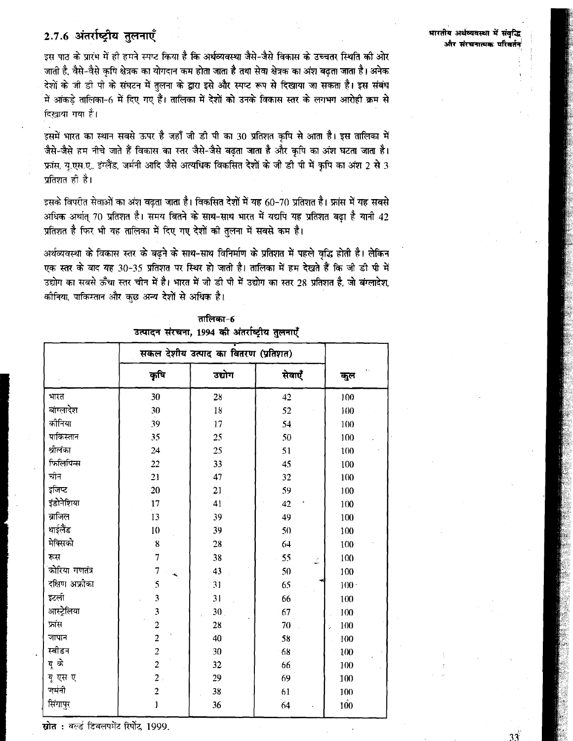# 2.7.6 अंतर्राष्ट्रीय तुलनाएँ

इस पाठ के प्रारंभ में ही हमने स्पाट किया है कि अर्थव्यवस्था जैसे-जैसे विकास के उच्चतर स्थिति की ओर जाती है, वैसे-वैसे कृषि क्षेत्रक का योगदान कम होता जाता है तथा सेवा क्षेत्रक का अंश बढता जाता है। अनेक देशों के जी डी पी के संघटन में तलना के द्वारा इसे और स्पष्ट रूप से दिखाया जा सकता है। इस संबंध .<br>में आंकड़े तालिका-6 में दिए गए हैं। तालिका में देशों को उनके विकास स्तर के लगभग आरोही क्रम से दिखाया गया है।

इसमें भारत का स्थान सबसे ऊपर है जहाँ जी डी पी का 30 प्रतिशत कृषि से आता है। इस तालिका में जैसे-जैसे हम नीचे जाते हैं विकास का स्तर जैसे-जैसे बढ़ता जाता है और कृषि का अंश घटता जाता है। फ्रांस, य.एस.ए., इंग्लैंड, जर्मनी आदि जैसे अत्यधिक विकसित देशों के जी डी पी में कपि का अंश 2 से 3 प्रतिशत ही है।

डसके विपरीत सेवाओं का अंश बढता जाता है। विकसित देशों में यह 60-70 प्रतिशत है। फ्रांस में यह सबसे अधिक अर्थात् 70 प्रतिशत है। समय बितने के साथ-साथ भारत में यद्यपि यह प्रतिशत बढ़ा है यानी 42 प्रतिशत है फिर भी यह तालिका में दिए गए देशों की तुलना में सबसे कम है।

अर्थव्यवस्था के विकास स्तर के बढने के साथ-साथ विनिर्माण के प्रतिशत में पहले वृद्धि होती है। लेकिन एक स्तर के बाद यह 30-35 प्रतिशत पर स्थिर हो जाती है। तालिका में हम देखते हैं कि जी डी पी में उद्योग का सबसे ऊँचा स्तर चीन में है। भारत में जी डी पी में उद्योग का स्तर 28 प्रतिशत है. जो बंग्लादेश कीनिया, पाकिस्तान और कुछ अन्य देशों से अधिक है।

|  | तालिका⊹6 |  |                                                |  |
|--|----------|--|------------------------------------------------|--|
|  |          |  | उत्पादन संरचना, 1994 की अंतर्राष्ट्रीय तुलनाएँ |  |

|                | सकल देशीय उत्पाद का वितरण (प्रतिशत) |                 |                                       |         |
|----------------|-------------------------------------|-----------------|---------------------------------------|---------|
|                | कृषि                                | उद्योग          | सेवाएँ                                | कुल     |
| भारत           | 30                                  | 28              | 42                                    | 100     |
| बांग्लादेश     | 30                                  | 18              | 52                                    | 100     |
| कोनिया         | 39                                  | 17              | 54                                    | 100     |
| पाकिस्तान      | 35                                  | 25              | 50                                    | 100     |
| श्रीलंका       | 24                                  | 25              | 51                                    | 100     |
| फिलिपिन्स      | 22                                  | 33              | 45                                    | 100     |
| चीन            | 21                                  | 47              | 32                                    | 100     |
| इजिप्ट         | 20                                  | 21              | 59                                    | 100     |
| इंडोनेशिया     | 17                                  | 41              | 42                                    | 100     |
| ब्राजिल        | 13                                  | 39              | 49                                    | 100     |
| थाईलैंड        | 10                                  | 39              | 50                                    | 100     |
| मेक्सिको       | $\bf 8$                             | 28              | 64                                    | 100     |
| रूस            | 7                                   | 38              | 55<br>$\frac{\epsilon^2}{\epsilon^2}$ | 100     |
| कोरिया गणतंत्र | 7<br>÷,                             | 43              | 50                                    | 100     |
| दक्षिण अफ्रीका | 5                                   | 31              | 65                                    | $100 -$ |
| इटली           | 3                                   | 31              | 66                                    | 100     |
| आस्ट्रेलिया    | 3                                   | 30 <sub>1</sub> | 67                                    | 100     |
| फ्रांस         | $\overline{2}$                      | 28              | 70                                    | 100     |
| जापान          | $\overline{2}$                      | 40              | 58                                    | 100     |
| स्वीडन         | $\overline{2}$                      | 30              | 68                                    | 100     |
| यू के          | $\overline{c}$                      | 32              | 66                                    | 100     |
| यू एस ए        | $\overline{2}$ .                    | 29              | 69                                    | 100     |
| जर्मनी         | $\overline{2}$                      | 38              | 61                                    | 100     |
| सिंगापुर       | 1                                   | 36              | 64                                    | 100     |
|                |                                     |                 |                                       |         |

स्रोत : वर्ल्ड डिवलपमेंट रिर्पोट, 1999.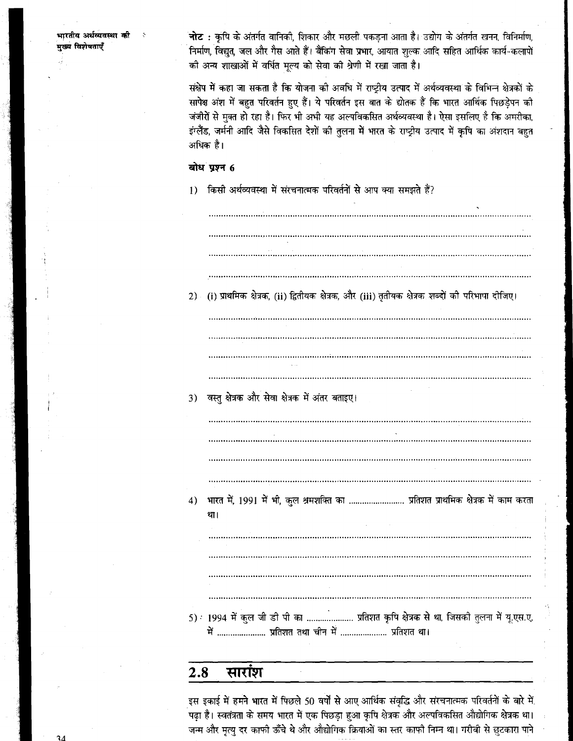भारतीय अर्थव्यवस्था की .<br>ब्य<sup>्</sup>विशेषताएँ

ं**नोट :** कृषि के अंतर्गत वानिकी, शिकार और मछली पकडना आता है। उद्योग के अंतर्गत खनन, विनिर्माण, निर्माण, विद्युत, जल और गैस आते हैं। बैंकिंग सेवा प्रभार, आयात शुल्क आदि सहित आर्थिक कार्य-कलापों .<br>को अन्य शाखाओं में वर्धित मूल्य को सेवा की श्रेणी में रखा जाता है।

संक्षेप में कहा जा सकता है कि योजना की अवधि में राष्ट्रीय उत्पाद में अर्थव्यवस्था के विभिन्न क्षेत्रकों के सापेक्ष अंश में बहुत परिवर्तन हुए हैं। ये परिवर्तन इस बात के द्योतक हैं कि भारत आर्थिक पिछड़ेपन को जंजीरों से मक्त हो रहा है। फिर भी अभी यह अल्पविकसित अर्थव्यवस्था है। ऐसा इसलिए है कि अमरीका, इंग्लैंड, जर्मनी आदि जैसे विकसित देशों की तुलना में भारत के राष्ट्रीय उत्पाद में कृषि का अंशदान बहुत अधिक है।

## बोध प्रश्न 6

किसी अर्थव्यवस्था में संरचनात्मक परिवर्तनों से आप क्या समझते हैं?  $1)$ 

(i) प्राथमिक क्षेत्रक, (ii) द्वितीयक क्षेत्रक, और (iii) तृतीयक क्षेत्रक शब्दों की परिभापा दीजिए।  $2)$ 3) वस्तु क्षेत्रक और सेवा क्षेत्रक में अंतर बताइए। 4) भारत में, 1991 में भी, कुल श्रमशक्ति का ........................... प्रतिशत प्राथमिक क्षेत्रक में काम करता था। 5) 1994 में कुल जी डी पी का ..................... प्रतिशत कृषि क्षेत्रक से था, जिसकी तुलना में यू.एस.ए. में ....................... प्रतिशत तथा चीन में ....................... प्रतिशत था।

#### सारांश 2.8

इस इकाई में हमने भारत में पिछले 50 वर्षों से आए आर्थिक संवृद्धि और संरचनात्मक परिवर्तनों के बारे में पढ़ा है। स्वतंत्रता के समय भारत में एक पिछड़ा हुआ कृषि क्षेत्रक और अल्पविकसित औद्योगिक क्षेत्रक था। जन्म और मृत्यु दर काफी ऊँचे थे और औद्योगिक क्रियाओं का स्तर काफी निम्न था। गरीबी से छुटकारा पाने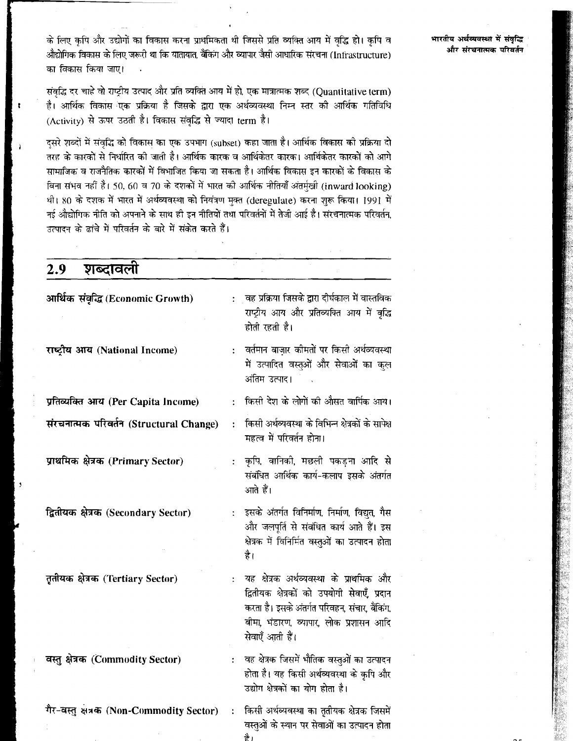के लिए कृषि और उद्योगों का विकास करना प्राथमिकता थी जिससे प्रति व्यक्ति आय में वृद्धि हो। कृषि व .<br>औद्योगिक विकास के लिए जरूरी था कि यातायात, बैंकिंग और व्यापार जैसी आधारिक संरचना (Infrastructure) का विकास किया जाए।

संवृद्धि दर चाहे वो राष्ट्रीय उत्पाद और प्रति व्यक्ति आय में हो, एक मात्रात्मक शब्द (Quantitative term) .<br>है। आर्थिक विकास एक प्रक्रिया है जिसके द्वारा एक अर्थव्यवस्था निम्न स्तर की आर्थिक गतिविधि (Activity) से ऊपर उठती है। विकास संवद्धि से ज्यादा term है।

दसरे शब्दों में संवृद्धि को विकास का एक उपभाग (subset) कहा जाता है। आर्थिक विकास को प्रक्रिया दो ्<br>तरह के कारकों से निर्धारित की जाती है। आर्थिक कारक व आर्थिकेतर कारक। आर्थिकेतर कारकों को आगे .<br>सामाजिक व राजनैतिक कारकों में विभाजित किया जा सकता है। आर्थिक विकास इन कारकों के विकास के बिना संभव नहीं है। 50, 60 व 70 के दशकों में भारत की आर्थिक नीतियाँ अंतर्मुखी (inward looking) थी। 80 के दशक में भारत में अर्थव्यवस्था को नियंत्रण मुक्त (deregulate) करना शुरू किया। 1991 में नई औद्योगिक नीति को अपनाने के साथ ही इन नीतियों तथा परिवर्तनों में तेजी आई है। संरचनात्मक परिवर्तन, उत्पादन के ढांचे में परिवर्तन के बारे में संकेत करते हैं।

| शब्दावली<br>2.9                           |                                                                                                                                                                                                                         |
|-------------------------------------------|-------------------------------------------------------------------------------------------------------------------------------------------------------------------------------------------------------------------------|
| आर्थिक संवृद्धि (Economic Growth)         | वह प्रक्रिया जिसके द्वारा दीर्घकाल में वास्तविक<br>$\ddot{\cdot}$<br>राष्ट्रीय आय और प्रतिव्यक्ति आय में वृद्धि<br>होती रहती है।                                                                                        |
| राष्ट्रीय आय (National Income)            | ्वर्तमान बाज़ार कीमतों पर किसी अर्थव्यवस्था<br>÷<br>में उत्पादित वस्तुओं और सेवाओं का कुल<br>अंतिम उत्पाद।                                                                                                              |
| प्रतिव्यक्ति आय (Per Capita Income)       | किसी देश के लोगों की औसत वार्पिक आय।<br>$\ddot{\cdot}$                                                                                                                                                                  |
| संरचनात्मक परिवर्तन (Structural Change)   | किसी अर्थव्यवस्था के विभिन्न क्षेत्रकों के सापेक्ष<br>महत्व में परिवर्तन होना।                                                                                                                                          |
| प्राथमिक क्षेत्रक (Primary Sector)        | कृषि, वानिकी, मछली पकड़ना आदि से<br>÷<br>संबंधित आर्थिक कार्य-कलाप इसके अंतर्गत<br>आते हैं।                                                                                                                             |
| द्वितीयक क्षेत्रक (Secondary Sector)      | इसके अंतर्गत विनिर्माण, निर्माण, विद्युत, गैस<br>और जलपूर्ति से संबंधित कार्य आते हैं। इस<br>क्षेत्रक में विनिर्मित वस्तुओं का उत्पादन होता<br>है।                                                                      |
| तृतीयक क्षेत्रक (Tertiary Sector)         | यह क्षेत्रक अर्थव्यवस्था के प्राथमिक और<br>$\ddot{\cdot}$<br>द्वितीयक क्षेत्रकों को उपयोगी सेवाएँ, प्रदान<br>करता है। इसके अंतर्गत परिवहन, संचार, बैंकिंग,<br>बीमा, भंडारण, व्यापार, लोक प्रशासन आदि<br>सेवाएँ आती हैं। |
| वस्तु क्षेत्रक (Commodity Sector)         | वह क्षेत्रक जिसमें भौतिक वस्तुओं का उत्पादन<br>$\ddot{\cdot}$<br>होता है। यह किसी अर्थव्यवस्था के कृपि और<br>उद्योग क्षेत्रकों का योग होता है।                                                                          |
| गैर-वस्तु क्षेत्रक (Non-Commodity Sector) | किसी अर्थव्यवस्था का तृतीयक क्षेत्रक जिसमें<br>$\ddot{\cdot}$<br>वस्तुओं के स्थान पर सेवाओं का उत्पादन होता<br>है।                                                                                                      |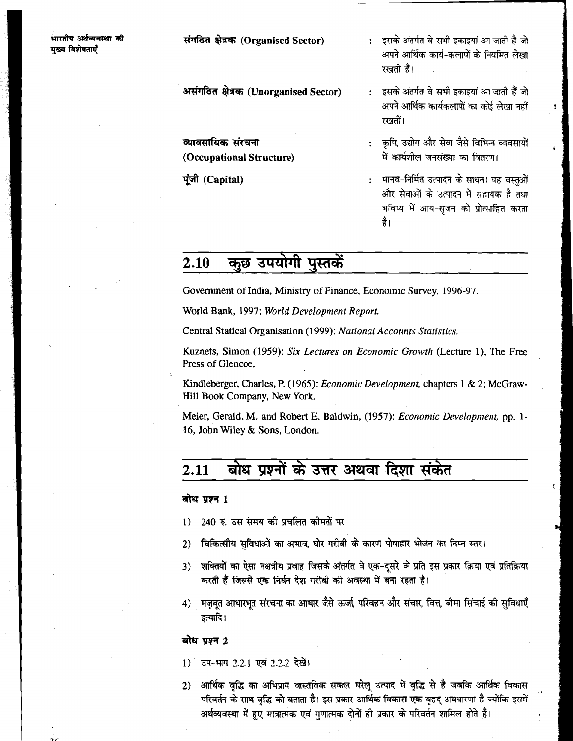संगठित क्षेत्रक (Organised Sector)

- इसके अंतर्गत वे सभी इकाइयां आ जाती है जो अपने आर्थिक कार्य-कलापों के नियमित लेखा रखती हैं।
- असंगठित क्षेत्रक (Unorganised Sector)

व्यावसायिक संरचना (Occupational Structure)

पूंजी (Capital)

- : इसके अंतर्गत वे सभी इकाइयां आ जाती हैं जो अपने आर्थिक कार्यकलापों का कोई लेखा नहीं रखतीं।
- कृषि, उद्योग और सेवा जैसे विभिन्न व्यवसायों  $\mathbf{r}$ में कार्यशील जनसंख्या का वितरण।
	- ेमानव-निर्मित उत्पादन के साधन। यह वस्तुओं और सेवाओं के उत्पादन में सहायक है तथा भविष्य में आय-सूजन को प्रोत्साहित करता है।

#### कुछ उपयोगी पुस्तकें 2.10

Government of India, Ministry of Finance, Economic Survey, 1996-97.

World Bank, 1997: World Development Report.

Central Statical Organisation (1999); National Accounts Statistics.

Kuznets, Simon (1959): Six Lectures on Economic Growth (Lecture 1), The Free Press of Glencoe.

Kindleberger, Charles, P. (1965); *Economic Development*, chapters 1 & 2; McGraw-Hill Book Company, New York.

Meier, Gerald, M. and Robert E. Baldwin, (1957): Economic Development, pp. 1-16, John Wiley & Sons, London.

#### बोध प्रश्नों के उत्तर अथवा दिशा संकेत 2.11

#### बोध प्रश्न 1

- 240 ह. उस समय की प्रचलित कीमतों पर  $\bf{1)}$
- चिकित्सीय सुविधाओं का अभाव, घोर गरीबी के कारण पोषाहार भोजन का निम्न स्तर।  $2)$
- शक्तियों का ऐसा नक्षत्रीय प्रवाह जिसके अंतर्गत वे एक-दुसरे के प्रति इस प्रकार क्रिया एवं प्रतिक्रिया 3) करती हैं जिससे एक निर्धन देश गरीबी की अवस्था में बना रहता है।
- 4) मजबत आधारभूत संरचना का आधार जैसे ऊर्जा, परिवहन और संचार, वित्त, बीमा सिंचाई की सुविधाएँ इत्यादि।

#### बोध प्रश्न 2

- 1) उप-भाग 2.2.1 एवं 2.2.2 देखें।
- आर्थिक वृद्धि का अभिप्राय वास्तविक सकल घरेलू उत्पाद में वृद्धि से है जबकि आर्थिक विकास.  $2)$ परिवर्तन के साथ वद्भि को बताता है। इस प्रकार आर्थिक विकास एक वृहद अवधारणा है क्योंकि इसमें अर्थव्यवस्था में हुए मात्रात्मक एवं गुणात्मक दोनों ही प्रकार के परिवर्तन शामिल होते हैं।